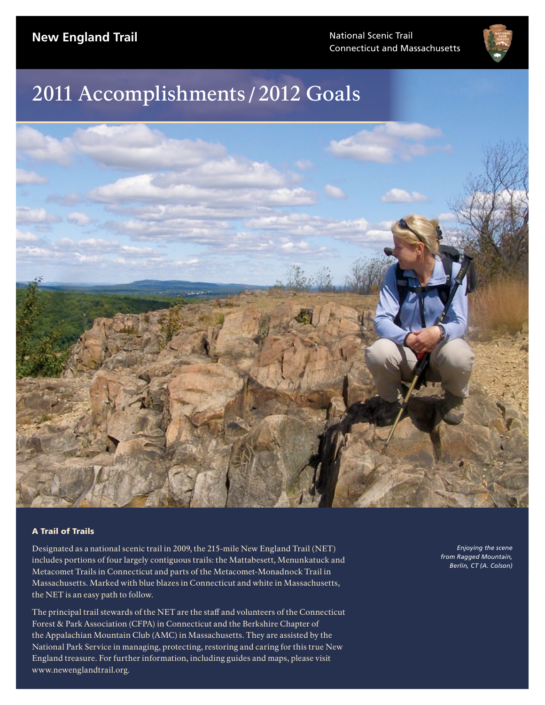Connecticut and Massachusetts



# 2011 Accomplishments /2012 Goals



#### A Trail of Trails

Designated as a national scenic trail in 2009, the 215-mile New England Trail (NET) includes portions of four largely contiguous trails: the Mattabesett, Menunkatuck and Metacomet Trails in Connecticut and parts of the Metacomet-Monadnock Trail in Massachusetts. Marked with blue blazes in Connecticut and white in Massachusetts, the NET is an easy path to follow.

The principal trail stewards of the NET are the staff and volunteers of the Connecticut Forest & Park Association (CFPA) in Connecticut and the Berkshire Chapter of the Appalachian Mountain Club (AMC) in Massachusetts. They are assisted by the National Park Service in managing, protecting, restoring and caring for this true New England treasure. For further information, including guides and maps, please visit www.newenglandtrail.org.

*Enjoying the scene from Ragged Mountain, Berlin, CT (A. Colson)*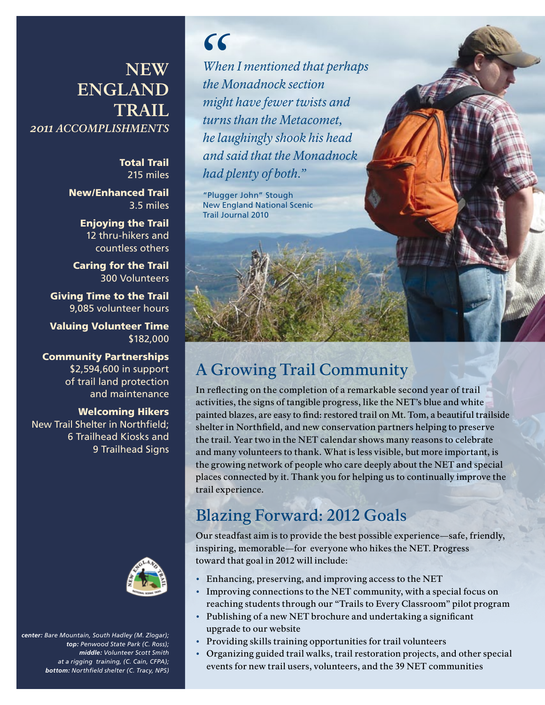### **New England Trail** *2011 Accomplishments*

Total Trail 215 miles

New/Enhanced Trail 3.5 miles

> Enjoying the Trail 12 thru-hikers and countless others

Caring for the Trail 300 Volunteers

Giving Time to the Trail 9,085 volunteer hours

Valuing Volunteer Time \$182,000

Community Partnerships \$2,594,600 in support of trail land protection and maintenance

#### Welcoming Hikers

New Trail Shelter in Northfield; 6 Trailhead Kiosks and 9 Trailhead Signs



*center: Bare Mountain, South Hadley (M. Zlogar); top: Penwood State Park (C. Ross); middle: Volunteer Scott Smith at a rigging training, (C. Cain, CFPA); bottom: Northfield shelter (C. Tracy, NPS)*

*"*

*When I mentioned that perhaps the Monadnock section might have fewer twists and turns than the Metacomet, he laughingly shook his head and said that the Monadnock had plenty of both."*

"Plugger John" Stough New England National Scenic Trail Journal 2010

# A Growing Trail Community

In reflecting on the completion of a remarkable second year of trail activities, the signs of tangible progress, like the NET's blue and white painted blazes, are easy to find: restored trail on Mt. Tom, a beautiful trailside shelter in Northfield, and new conservation partners helping to preserve the trail. Year two in the NET calendar shows many reasons to celebrate and many volunteers to thank. What is less visible, but more important, is the growing network of people who care deeply about the NET and special places connected by it. Thank you for helping us to continually improve the trail experience.

### Blazing Forward: 2012 Goals

Our steadfast aim is to provide the best possible experience—safe, friendly, inspiring, memorable—for everyone who hikes the NET. Progress toward that goal in 2012 will include:

- • Enhancing, preserving, and improving access to the NET
- Improving connections to the NET community, with a special focus on reaching students through our "Trails to Every Classroom" pilot program
- • Publishing of a new NET brochure and undertaking a significant upgrade to our website
- • Providing skills training opportunities for trail volunteers
- • Organizing guided trail walks, trail restoration projects, and other special events for new trail users, volunteers, and the 39 NET communities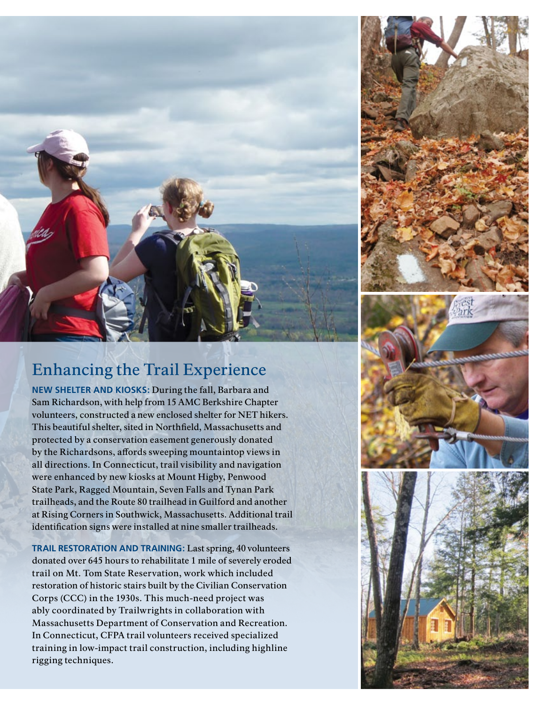

# Enhancing the Trail Experience

**NEW SHELTER AND KIOSKS:** During the fall, Barbara and Sam Richardson, with help from 15 AMC Berkshire Chapter volunteers, constructed a new enclosed shelter for NET hikers. This beautiful shelter, sited in Northfield, Massachusetts and protected by a conservation easement generously donated by the Richardsons, affords sweeping mountaintop views in all directions. In Connecticut, trail visibility and navigation were enhanced by new kiosks at Mount Higby, Penwood State Park, Ragged Mountain, Seven Falls and Tynan Park trailheads, and the Route 80 trailhead in Guilford and another at Rising Corners in Southwick, Massachusetts. Additional trail identification signs were installed at nine smaller trailheads.

**TRAIL RESTORATION AND TRAINING:** Last spring, 40 volunteers donated over 645 hours to rehabilitate 1 mile of severely eroded trail on Mt. Tom State Reservation, work which included restoration of historic stairs built by the Civilian Conservation Corps (CCC) in the 1930s. This much-need project was ably coordinated by Trailwrights in collaboration with Massachusetts Department of Conservation and Recreation. In Connecticut, CFPA trail volunteers received specialized training in low-impact trail construction, including highline rigging techniques.